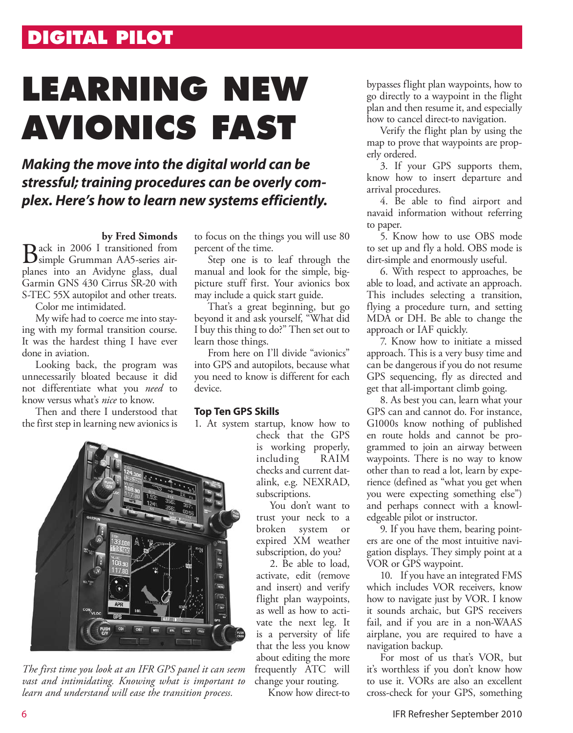## **DIGITAL PILOT**

# **learning new avionics fast**

## *Making the move into the digital world can be stressful; training procedures can be overly complex. Here's how to learn new systems efficiently.*

### **by Fred Simonds**

Back in 2006 I transitioned from simple Grumman AA5-series airplanes into an Avidyne glass, dual Garmin GNS 430 Cirrus SR-20 with S-TEC 55X autopilot and other treats.

Color me intimidated.

My wife had to coerce me into staying with my formal transition course. It was the hardest thing I have ever done in aviation.

Looking back, the program was unnecessarily bloated because it did not differentiate what you *need* to know versus what's *nice* to know.

Then and there I understood that the first step in learning new avionics is

to focus on the things you will use 80 percent of the time.

Step one is to leaf through the manual and look for the simple, bigpicture stuff first. Your avionics box may include a quick start guide.

That's a great beginning, but go beyond it and ask yourself, "What did I buy this thing to do?" Then set out to learn those things.

From here on I'll divide "avionics" into GPS and autopilots, because what you need to know is different for each device.

#### **Top Ten GPS Skills**

1. At system startup, know how to



*The first time you look at an IFR GPS panel it can seem vast and intimidating. Knowing what is important to learn and understand will ease the transition process.* 

check that the GPS is working properly, including RAIM checks and current datalink, e.g. NEXRAD, subscriptions.

You don't want to trust your neck to a broken system or expired XM weather subscription, do you?

2. Be able to load, activate, edit (remove and insert) and verify flight plan waypoints, as well as how to activate the next leg. It is a perversity of life that the less you know about editing the more frequently ATC will change your routing.

Know how direct-to

bypasses flight plan waypoints, how to go directly to a waypoint in the flight plan and then resume it, and especially how to cancel direct-to navigation.

Verify the flight plan by using the map to prove that waypoints are properly ordered.

3. If your GPS supports them, know how to insert departure and arrival procedures.

4. Be able to find airport and navaid information without referring to paper.

5. Know how to use OBS mode to set up and fly a hold. OBS mode is dirt-simple and enormously useful.

6. With respect to approaches, be able to load, and activate an approach. This includes selecting a transition, flying a procedure turn, and setting MDA or DH. Be able to change the approach or IAF quickly.

7. Know how to initiate a missed approach. This is a very busy time and can be dangerous if you do not resume GPS sequencing, fly as directed and get that all-important climb going.

8. As best you can, learn what your GPS can and cannot do. For instance, G1000s know nothing of published en route holds and cannot be programmed to join an airway between waypoints. There is no way to know other than to read a lot, learn by experience (defined as "what you get when you were expecting something else") and perhaps connect with a knowledgeable pilot or instructor.

9. If you have them, bearing pointers are one of the most intuitive navigation displays. They simply point at a VOR or GPS waypoint.

10. If you have an integrated FMS which includes VOR receivers, know how to navigate just by VOR. I know it sounds archaic, but GPS receivers fail, and if you are in a non-WAAS airplane, you are required to have a navigation backup.

For most of us that's VOR, but it's worthless if you don't know how to use it. VORs are also an excellent cross-check for your GPS, something